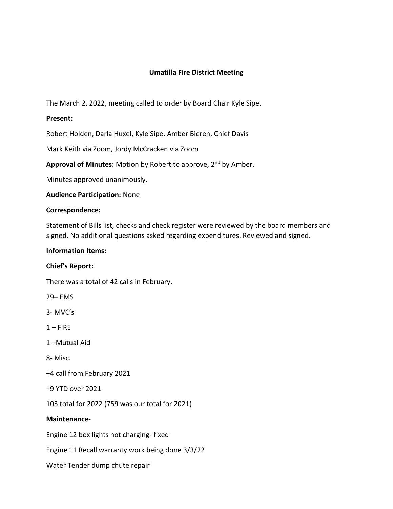# **Umatilla Fire District Meeting**

The March 2, 2022, meeting called to order by Board Chair Kyle Sipe.

## **Present:**

Robert Holden, Darla Huxel, Kyle Sipe, Amber Bieren, Chief Davis

Mark Keith via Zoom, Jordy McCracken via Zoom

Approval of Minutes: Motion by Robert to approve, 2<sup>nd</sup> by Amber.

Minutes approved unanimously.

**Audience Participation:** None

#### **Correspondence:**

Statement of Bills list, checks and check register were reviewed by the board members and signed. No additional questions asked regarding expenditures. Reviewed and signed.

### **Information Items:**

#### **Chief's Report:**

There was a total of 42 calls in February.

29– EMS

3- MVC's

 $1 -$ FIRE

1 –Mutual Aid

8- Misc.

+4 call from February 2021

+9 YTD over 2021

103 total for 2022 (759 was our total for 2021)

#### **Maintenance-**

Engine 12 box lights not charging- fixed

Engine 11 Recall warranty work being done 3/3/22

Water Tender dump chute repair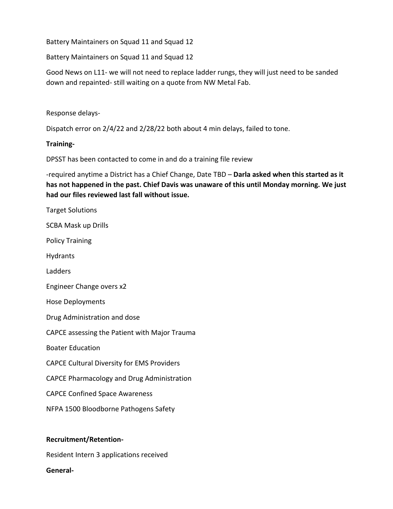Battery Maintainers on Squad 11 and Squad 12

Battery Maintainers on Squad 11 and Squad 12

Good News on L11- we will not need to replace ladder rungs, they will just need to be sanded down and repainted- still waiting on a quote from NW Metal Fab.

Response delays-

Dispatch error on 2/4/22 and 2/28/22 both about 4 min delays, failed to tone.

## **Training-**

DPSST has been contacted to come in and do a training file review

-required anytime a District has a Chief Change, Date TBD – **Darla asked when this started as it has not happened in the past. Chief Davis was unaware of this until Monday morning. We just had our files reviewed last fall without issue.** 

Target Solutions

SCBA Mask up Drills

Policy Training

Hydrants

Ladders

Engineer Change overs x2

Hose Deployments

Drug Administration and dose

CAPCE assessing the Patient with Major Trauma

Boater Education

CAPCE Cultural Diversity for EMS Providers

CAPCE Pharmacology and Drug Administration

CAPCE Confined Space Awareness

NFPA 1500 Bloodborne Pathogens Safety

#### **Recruitment/Retention-**

Resident Intern 3 applications received

**General-**